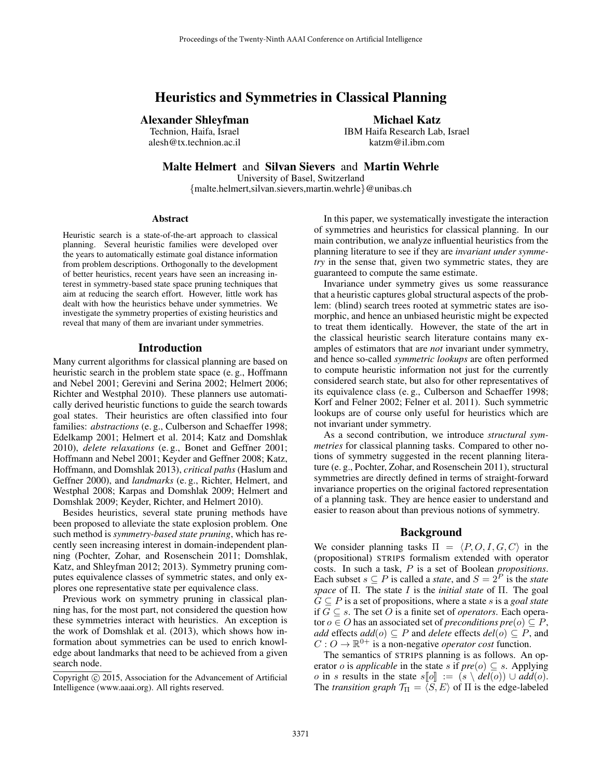# Heuristics and Symmetries in Classical Planning

# Alexander Shleyfman

Technion, Haifa, Israel alesh@tx.technion.ac.il Michael Katz

IBM Haifa Research Lab, Israel katzm@il.ibm.com

Malte Helmert and Silvan Sievers and Martin Wehrle

University of Basel, Switzerland {malte.helmert,silvan.sievers,martin.wehrle}@unibas.ch

#### Abstract

Heuristic search is a state-of-the-art approach to classical planning. Several heuristic families were developed over the years to automatically estimate goal distance information from problem descriptions. Orthogonally to the development of better heuristics, recent years have seen an increasing interest in symmetry-based state space pruning techniques that aim at reducing the search effort. However, little work has dealt with how the heuristics behave under symmetries. We investigate the symmetry properties of existing heuristics and reveal that many of them are invariant under symmetries.

#### Introduction

Many current algorithms for classical planning are based on heuristic search in the problem state space (e. g., Hoffmann and Nebel 2001; Gerevini and Serina 2002; Helmert 2006; Richter and Westphal 2010). These planners use automatically derived heuristic functions to guide the search towards goal states. Their heuristics are often classified into four families: *abstractions* (e.g., Culberson and Schaeffer 1998; Edelkamp 2001; Helmert et al. 2014; Katz and Domshlak 2010), *delete relaxations* (e. g., Bonet and Geffner 2001; Hoffmann and Nebel 2001; Keyder and Geffner 2008; Katz, Hoffmann, and Domshlak 2013), *critical paths* (Haslum and Geffner 2000), and *landmarks* (e. g., Richter, Helmert, and Westphal 2008; Karpas and Domshlak 2009; Helmert and Domshlak 2009; Keyder, Richter, and Helmert 2010).

Besides heuristics, several state pruning methods have been proposed to alleviate the state explosion problem. One such method is *symmetry-based state pruning*, which has recently seen increasing interest in domain-independent planning (Pochter, Zohar, and Rosenschein 2011; Domshlak, Katz, and Shleyfman 2012; 2013). Symmetry pruning computes equivalence classes of symmetric states, and only explores one representative state per equivalence class.

Previous work on symmetry pruning in classical planning has, for the most part, not considered the question how these symmetries interact with heuristics. An exception is the work of Domshlak et al. (2013), which shows how information about symmetries can be used to enrich knowledge about landmarks that need to be achieved from a given search node.

In this paper, we systematically investigate the interaction of symmetries and heuristics for classical planning. In our main contribution, we analyze influential heuristics from the planning literature to see if they are *invariant under symmetry* in the sense that, given two symmetric states, they are guaranteed to compute the same estimate.

Invariance under symmetry gives us some reassurance that a heuristic captures global structural aspects of the problem: (blind) search trees rooted at symmetric states are isomorphic, and hence an unbiased heuristic might be expected to treat them identically. However, the state of the art in the classical heuristic search literature contains many examples of estimators that are *not* invariant under symmetry, and hence so-called *symmetric lookups* are often performed to compute heuristic information not just for the currently considered search state, but also for other representatives of its equivalence class (e. g., Culberson and Schaeffer 1998; Korf and Felner 2002; Felner et al. 2011). Such symmetric lookups are of course only useful for heuristics which are not invariant under symmetry.

As a second contribution, we introduce *structural symmetries* for classical planning tasks. Compared to other notions of symmetry suggested in the recent planning literature (e. g., Pochter, Zohar, and Rosenschein 2011), structural symmetries are directly defined in terms of straight-forward invariance properties on the original factored representation of a planning task. They are hence easier to understand and easier to reason about than previous notions of symmetry.

### Background

We consider planning tasks  $\Pi = \langle P, O, I, G, C \rangle$  in the (propositional) STRIPS formalism extended with operator costs. In such a task, P is a set of Boolean *propositions*. Each subset  $s \subseteq P$  is called a *state*, and  $S = 2^P$  is the *state space* of Π. The state I is the *initial state* of Π. The goal  $G \subseteq P$  is a set of propositions, where a state s is a *goal state* if G ⊆ s. The set O is a finite set of *operators*. Each operator  $o \in O$  has an associated set of *preconditions pre* $(o) \subseteq P$ , *add* effects  $add(o) ⊆ P$  and *delete* effects  $del(o) ⊆ P$ , and  $C: O \to \mathbb{R}^{0+}$  is a non-negative *operator cost* function.

The semantics of STRIPS planning is as follows. An operator *o* is *applicable* in the state *s* if  $pre(o) \subseteq s$ . Applying o in s results in the state  $s[\![o]\!] := (s \setminus \text{del}(o)) \cup \text{add}(o).$ The *transition graph*  $\mathcal{T}_{\Pi} = \langle S, E \rangle$  of  $\Pi$  is the edge-labeled

Copyright (c) 2015, Association for the Advancement of Artificial Intelligence (www.aaai.org). All rights reserved.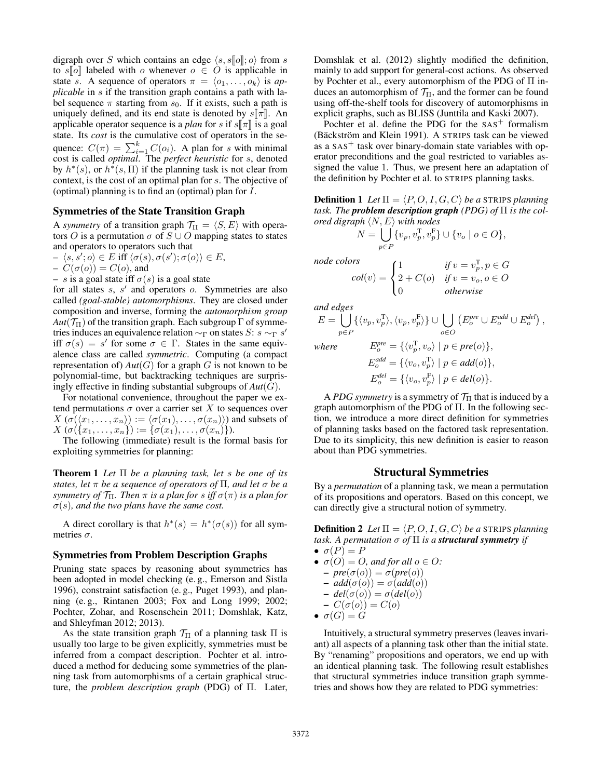digraph over S which contains an edge  $\langle s, s \cdot \cdot \cdot \cdot \rangle$  from s to s[o] labeled with o whenever  $o \in O$  is applicable in state s. A sequence of operators  $\pi = \langle o_1, \ldots, o_k \rangle$  is *applicable* in s if the transition graph contains a path with label sequence  $\pi$  starting from  $s_0$ . If it exists, such a path is uniquely defined, and its end state is denoted by  $s\llbracket \pi \rrbracket$ . An applicable operator sequence is a *plan* for s if  $s\llbracket \pi \rrbracket$  is a goal state. Its *cost* is the cumulative cost of operators in the sequence:  $C(\pi) = \sum_{i=1}^{k} C(o_i)$ . A plan for s with minimal cost is called *optimal*. The *perfect heuristic* for s, denoted by  $h^*(s)$ , or  $h^*(s, \Pi)$  if the planning task is not clear from context, is the cost of an optimal plan for s. The objective of (optimal) planning is to find an (optimal) plan for I.

### Symmetries of the State Transition Graph

A *symmetry* of a transition graph  $\mathcal{T}_{\Pi} = \langle S, E \rangle$  with operators O is a permutation  $\sigma$  of  $S \cup O$  mapping states to states and operators to operators such that

$$
- \langle s, s' ; o \rangle \in E \text{ iff } \langle \sigma(s), \sigma(s') ; \sigma(o) \rangle \in E,
$$

$$
- C(\sigma(o)) = C(o), \text{ and}
$$

 $- s$  is a goal state iff  $\sigma(s)$  is a goal state

for all states  $s$ ,  $s'$  and operators  $o$ . Symmetries are also called *(goal-stable) automorphisms*. They are closed under composition and inverse, forming the *automorphism group*  $Aut(\mathcal{T}_{\Pi})$  of the transition graph. Each subgroup  $\Gamma$  of symmetries induces an equivalence relation  $\sim_{\Gamma}$  on states S: s  $\sim_{\Gamma}$  s' iff  $\sigma(s) = s'$  for some  $\sigma \in \Gamma$ . States in the same equivalence class are called *symmetric*. Computing (a compact representation of)  $Aut(G)$  for a graph G is not known to be polynomial-time, but backtracking techniques are surprisingly effective in finding substantial subgroups of *Aut*(G).

For notational convenience, throughout the paper we extend permutations  $\sigma$  over a carrier set X to sequences over  $X(\sigma(\langle x_1, \ldots, x_n \rangle) := \langle \sigma(x_1), \ldots, \sigma(x_n) \rangle)$  and subsets of  $X(\sigma(\{x_1,\ldots,x_n\}) := \{\sigma(x_1),\ldots,\sigma(x_n)\}).$ 

The following (immediate) result is the formal basis for exploiting symmetries for planning:

Theorem 1 *Let* Π *be a planning task, let* s *be one of its states, let* π *be a sequence of operators of* Π*, and let* σ *be a symmetry of*  $\mathcal{T}_{\Pi}$ *. Then*  $\pi$  *is a plan for s iff*  $\sigma(\pi)$  *is a plan for*  $\sigma(s)$ , and the two plans have the same cost.

A direct corollary is that  $h^*(s) = h^*(\sigma(s))$  for all symmetries  $\sigma$ .

#### Symmetries from Problem Description Graphs

Pruning state spaces by reasoning about symmetries has been adopted in model checking (e. g., Emerson and Sistla 1996), constraint satisfaction (e. g., Puget 1993), and planning (e. g., Rintanen 2003; Fox and Long 1999; 2002; Pochter, Zohar, and Rosenschein 2011; Domshlak, Katz, and Shleyfman 2012; 2013).

As the state transition graph  $\mathcal{T}_{\Pi}$  of a planning task  $\Pi$  is usually too large to be given explicitly, symmetries must be inferred from a compact description. Pochter et al. introduced a method for deducing some symmetries of the planning task from automorphisms of a certain graphical structure, the *problem description graph* (PDG) of Π. Later,

Domshlak et al. (2012) slightly modified the definition, mainly to add support for general-cost actions. As observed by Pochter et al., every automorphism of the PDG of Π induces an automorphism of  $T_{II}$ , and the former can be found using off-the-shelf tools for discovery of automorphisms in explicit graphs, such as BLISS (Junttila and Kaski 2007).

Pochter et al. define the PDG for the  $SAS<sup>+</sup>$  formalism (Bäckström and Klein 1991). A STRIPS task can be viewed as a  $SAS<sup>+</sup>$  task over binary-domain state variables with operator preconditions and the goal restricted to variables assigned the value 1. Thus, we present here an adaptation of the definition by Pochter et al. to STRIPS planning tasks.

**Definition 1** Let  $\Pi = \langle P, O, I, G, C \rangle$  be a STRIPS planning *task. The problem description graph (PDG) of* Π *is the colored digraph*  $\langle N, E \rangle$  *with nodes* 

$$
N = \bigcup_{p \in P} \{v_p, v_p^{\mathrm{T}}, v_p^{\mathrm{F}}\} \cup \{v_o \mid o \in O\},\
$$

1  $\text{if } v = v_p^{\mathrm{T}}, p \in G$  $2 + C(o)$  *if*  $v = v_o, o \in O$ 0 *otherwise*

 $\sqrt{ }$ J  $\mathcal{L}$ 

*node colors*

 $col(v) =$ 

*and edges*

$$
E = \bigcup_{p \in P} \{ \langle v_p, v_p^{\mathsf{T}} \rangle, \langle v_p, v_p^{\mathsf{F}} \rangle \} \cup \bigcup_{o \in O} \left( E_o^{pre} \cup E_o^{add} \cup E_o^{del} \right),
$$
  
where 
$$
E_o^{pre} = \{ \langle v_p^{\mathsf{T}}, v_o \rangle \mid p \in pre(o) \},
$$

*where* 

$$
E_o = \{ \langle v_p, v_o \rangle \mid p \in \text{pro}(o) \},
$$
  
\n
$$
E_o^{\text{add}} = \{ \langle v_o, v_p^{\text{T}} \rangle \mid p \in \text{add}(o) \},
$$
  
\n
$$
E_o^{\text{del}} = \{ \langle v_o, v_p^{\text{F}} \rangle \mid p \in \text{del}(o) \}.
$$

A *PDG symmetry* is a symmetry of  $\mathcal{T}_{\Pi}$  that is induced by a graph automorphism of the PDG of Π. In the following section, we introduce a more direct definition for symmetries of planning tasks based on the factored task representation. Due to its simplicity, this new definition is easier to reason about than PDG symmetries.

#### Structural Symmetries

By a *permutation* of a planning task, we mean a permutation of its propositions and operators. Based on this concept, we can directly give a structural notion of symmetry.

**Definition 2** Let  $\Pi = \langle P, O, I, G, C \rangle$  be a STRIPS planning *task. A permutation*  $\sigma$  *of*  $\Pi$  *is a structural symmetry if* 

- $\bullet \ \sigma(P) = P$
- $\sigma(O) = O$ , and for all  $o \in O$ :
	- $-\textit{pre}(\sigma(o)) = \sigma(\textit{pre}(o))$
	- $add(\sigma(o)) = \sigma(add(o))$
	- $-\text{del}(\sigma(o)) = \sigma(\text{del}(o))$
- $-C(\sigma(o))=C(o)$
- $\bullet \ \sigma(G) = G$

Intuitively, a structural symmetry preserves (leaves invariant) all aspects of a planning task other than the initial state. By "renaming" propositions and operators, we end up with an identical planning task. The following result establishes that structural symmetries induce transition graph symmetries and shows how they are related to PDG symmetries: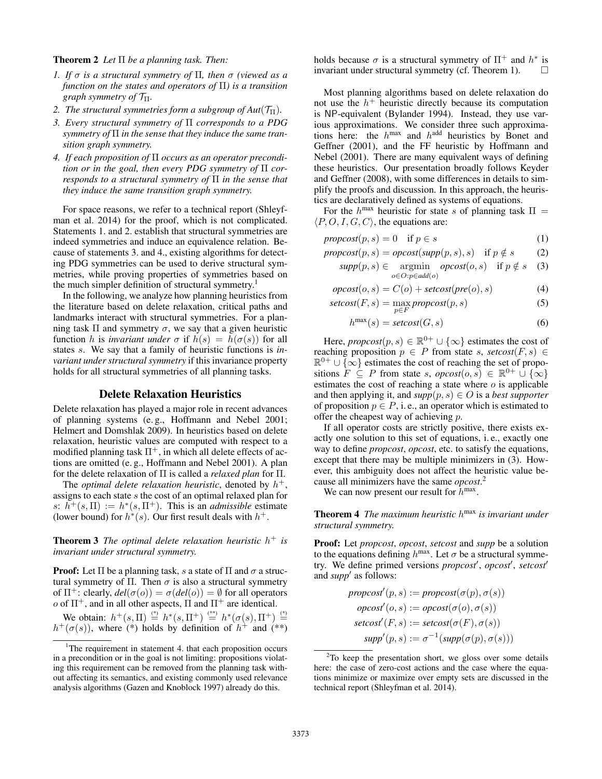#### Theorem 2 *Let* Π *be a planning task. Then:*

- *1. If* σ *is a structural symmetry of* Π*, then* σ *(viewed as a function on the states and operators of* Π*) is a transition graph symmetry of* TΠ*.*
- *2. The structural symmetries form a subgroup of Aut* $(\mathcal{T}_{\Pi})$ *.*
- *3. Every structural symmetry of* Π *corresponds to a PDG symmetry of* Π *in the sense that they induce the same transition graph symmetry.*
- *4. If each proposition of* Π *occurs as an operator precondition or in the goal, then every PDG symmetry of* Π *corresponds to a structural symmetry of* Π *in the sense that they induce the same transition graph symmetry.*

For space reasons, we refer to a technical report (Shleyfman et al. 2014) for the proof, which is not complicated. Statements 1. and 2. establish that structural symmetries are indeed symmetries and induce an equivalence relation. Because of statements 3. and 4., existing algorithms for detecting PDG symmetries can be used to derive structural symmetries, while proving properties of symmetries based on the much simpler definition of structural symmetry.<sup>1</sup>

In the following, we analyze how planning heuristics from the literature based on delete relaxation, critical paths and landmarks interact with structural symmetries. For a planning task  $\Pi$  and symmetry  $\sigma$ , we say that a given heuristic function h is *invariant under*  $\sigma$  if  $h(s) = h(\sigma(s))$  for all states s. We say that a family of heuristic functions is *invariant under structural symmetry* if this invariance property holds for all structural symmetries of all planning tasks.

# Delete Relaxation Heuristics

Delete relaxation has played a major role in recent advances of planning systems (e. g., Hoffmann and Nebel 2001; Helmert and Domshlak 2009). In heuristics based on delete relaxation, heuristic values are computed with respect to a modified planning task  $\Pi^+$ , in which all delete effects of actions are omitted (e. g., Hoffmann and Nebel 2001). A plan for the delete relaxation of Π is called a *relaxed plan* for Π.

The *optimal delete relaxation heuristic*, denoted by  $h^+$ , assigns to each state s the cost of an optimal relaxed plan for s:  $h^+(s,\Pi) := h^*(s,\Pi^+)$ . This is an *admissible* estimate (lower bound) for  $h^*(s)$ . Our first result deals with  $h^+$ .

Theorem 3 *The optimal delete relaxation heuristic* h <sup>+</sup> *is invariant under structural symmetry.*

**Proof:** Let  $\Pi$  be a planning task, s a state of  $\Pi$  and  $\sigma$  a structural symmetry of  $\Pi$ . Then  $\sigma$  is also a structural symmetry of  $\Pi^+$ : clearly,  $del(\sigma(o)) = \sigma(det(o)) = \emptyset$  for all operators  $o$  of  $\Pi^+$ , and in all other aspects,  $\Pi$  and  $\Pi^+$  are identical.

We obtain:  $h^+(s,\Pi) \stackrel{(*)}{=} h^*(s,\Pi^+) \stackrel{(**)}{=} h^*(\sigma(s),\Pi^+) \stackrel{(*)}{=}$  $h^+(\sigma(s))$ , where (\*) holds by definition of  $h^+$  and (\*\*)

holds because  $\sigma$  is a structural symmetry of  $\Pi^+$  and  $h^*$  is invariant under structural symmetry (cf. Theorem 1).

Most planning algorithms based on delete relaxation do not use the  $h^+$  heuristic directly because its computation is NP-equivalent (Bylander 1994). Instead, they use various approximations. We consider three such approximations here: the  $h^{max}$  and  $h^{add}$  heuristics by Bonet and Geffner (2001), and the FF heuristic by Hoffmann and Nebel (2001). There are many equivalent ways of defining these heuristics. Our presentation broadly follows Keyder and Geffner (2008), with some differences in details to simplify the proofs and discussion. In this approach, the heuristics are declaratively defined as systems of equations.

For the  $h^{\text{max}}$  heuristic for state s of planning task  $\Pi =$  $\langle P, O, I, G, C \rangle$ , the equations are:

 $\text{propcost}(p, s) = 0 \quad \text{if } p \in s$  (1)

$$
propcost(p, s) = opcost(supp(p, s), s) \text{ if } p \notin s \qquad (2)
$$

$$
supp(p, s) \in \underset{o \in O: p \in add(o)}{\operatorname{argmin}} \underset{o}{\operatorname{opcost}}(o, s) \quad \text{if } p \notin s \quad (3)
$$

$$
opcost(o, s) = C(o) + setcost(pre(o), s)
$$
\n(4)

$$
setcost(F, s) = \max_{p \in F} \text{propcost}(p, s) \tag{5}
$$

$$
h^{\max}(s) = \text{setcost}(G, s) \tag{6}
$$

Here, *propcost* $(p, s) \in \mathbb{R}^{0+} \cup \{\infty\}$  estimates the cost of reaching proposition  $p \in P$  from state s, setcost(F, s)  $\in$  $\mathbb{R}^{0+} \cup \{\infty\}$  estimates the cost of reaching the set of propositions  $F \subseteq P$  from state s,  $\text{opcost}(o, s) \in \mathbb{R}^{0+} \cup \{\infty\}$ estimates the cost of reaching a state where  $o$  is applicable and then applying it, and  $supp(p, s) \in O$  is a *best supporter* of proposition  $p \in P$ , i.e., an operator which is estimated to offer the cheapest way of achieving p.

If all operator costs are strictly positive, there exists exactly one solution to this set of equations, i. e., exactly one way to define *propcost*, *opcost*, etc. to satisfy the equations, except that there may be multiple minimizers in (3). However, this ambiguity does not affect the heuristic value because all minimizers have the same *opcost*. 2

We can now present our result for  $h^{\text{max}}$ .

Theorem 4 *The maximum heuristic* h max *is invariant under structural symmetry.*

Proof: Let *propcost*, *opcost*, *setcost* and *supp* be a solution to the equations defining  $h^{\text{max}}$ . Let  $\sigma$  be a structural symmetry. We define primed versions *propcost'*, *opcost'*, *setcost'* and *supp'* as follows:

$$
proposst'(p, s) := proposst(σ(p), σ(s))
$$
  
\n
$$
oposst'(o, s) := opcost(σ(o), σ(s))
$$
  
\n
$$
setcost'(F, s) := setcost(σ(F), σ(s))
$$
  
\n
$$
supp'(p, s) := σ^{-1}(supp(σ(p), σ(s)))
$$

<sup>&</sup>lt;sup>1</sup>The requirement in statement 4. that each proposition occurs in a precondition or in the goal is not limiting: propositions violating this requirement can be removed from the planning task without affecting its semantics, and existing commonly used relevance analysis algorithms (Gazen and Knoblock 1997) already do this.

 $2$ To keep the presentation short, we gloss over some details here: the case of zero-cost actions and the case where the equations minimize or maximize over empty sets are discussed in the technical report (Shleyfman et al. 2014).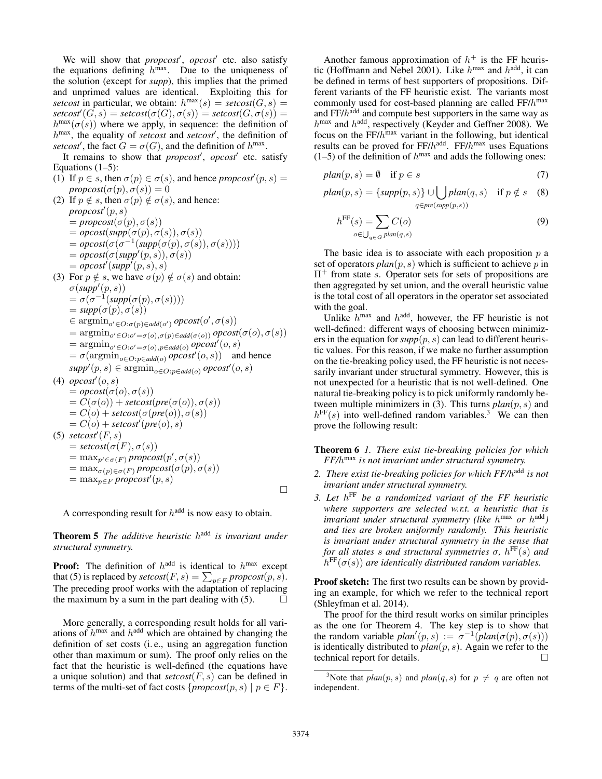We will show that *propcost'*, *opcost'* etc. also satisfy the equations defining  $h^{\text{max}}$ . Due to the uniqueness of the solution (except for *supp*), this implies that the primed and unprimed values are identical. Exploiting this for setcost in particular, we obtain:  $h^{\max}(s) = \text{setcost}(G, s) =$  $\textit{setcost}'(G, s) = \textit{setcost}(\sigma(G), \sigma(s)) = \textit{setcost}(G, \sigma(s)) =$  $h^{\max}(\sigma(s))$  where we apply, in sequence: the definition of h<sup>max</sup>, the equality of *setcost* and *setcost'*, the definition of setcost', the fact  $G = \sigma(G)$ , and the definition of  $h^{\max}$ .

It remains to show that *propcost'*, *opcost'* etc. satisfy Equations  $(1-5)$ :

- (1) If  $p \in s$ , then  $\sigma(p) \in \sigma(s)$ , and hence *propcost*<sup> $\prime$ </sup> $(p, s)$  =  $propcost(\sigma(p), \sigma(s)) = 0$
- (2) If  $p \notin s$ , then  $\sigma(p) \notin \sigma(s)$ , and hence:  $propcost'(p, s)$  $=$ *propcost*( $\sigma(p), \sigma(s)$ )  $= opcost(supp(\sigma(p), \sigma(s)), \sigma(s))$  $= opcost(\sigma(\sigma^{-1}(supp(\sigma(p), \sigma(s)), \sigma(s))))$  $= opcost(\sigma(supp'(p, s)), \sigma(s))$  $= opcost'(supp'(p, s), s)$ (3) For  $p \notin s$ , we have  $\sigma(p) \notin \sigma(s)$  and obtain:  $\sigma(supp'(p, s))$  $= \sigma(\sigma^{-1}(supp(\sigma(p), \sigma(s))))$  $= supp(\sigma(p), \sigma(s))$  $\in \operatorname{argmin}_{o' \in O: \sigma(p) \in \mathit{add}(o')} \mathit{opcost}(o', \sigma(s))$  $= \operatorname{argmin}_{o' \in O: o' = \sigma(o), \sigma(p) \in add(\sigma(o))} opcost(\sigma(o), \sigma(s))$  $= \operatorname{argmin}_{o' \in O: o' = \sigma(o), p \in add(o)} opcost'(o, s)$  $= \sigma(\operatorname{argmin}_{o \in O: p \in add(o)} opost'(o, s))$  and hence  $supp'(p, s) \in \operatorname{argmin}_{o \in O: p \in \text{add}(o)} \text{ opost}'(o, s)$ (4)  $\textit{opcost}'(o, s)$  $= opcost(\sigma(o), \sigma(s))$  $= C(\sigma(o)) + \text{setcost}(pre(\sigma(o)), \sigma(s))$  $= C(o) + \text{setcost}(\sigma(\text{pre}(o)), \sigma(s))$  $= C(o) + \textit{setcost}'(\textit{pre}(o), s)$ (5)  $\mathit{setcost}'(F, s)$  $= setcost(\sigma(F), \sigma(s))$  $=$  max<sub>p'</sub> $\in_{\sigma(F)}$  propcost $(p', \sigma(s))$  $=$  max<sub> $\sigma(p) \in \sigma(F)$ </sub> propcost $(\sigma(p), \sigma(s))$  $=$  max<sub>p∈F</sub> propcost<sup>*i*</sup>(p, s)  $\Box$

A corresponding result for  $h^{\text{add}}$  is now easy to obtain.

**Theorem 5** The additive heuristic h<sup>add</sup> is invariant under *structural symmetry.*

**Proof:** The definition of  $h^{\text{add}}$  is identical to  $h^{\text{max}}$  except that (5) is replaced by  $\mathit{setcost}(F, s) = \sum_{p \in F} \mathit{proposst}(p, s)$ . The preceding proof works with the adaptation of replacing the maximum by a sum in the part dealing with (5).

More generally, a corresponding result holds for all variations of  $h^{\text{max}}$  and  $h^{\text{add}}$  which are obtained by changing the definition of set costs (i. e., using an aggregation function other than maximum or sum). The proof only relies on the fact that the heuristic is well-defined (the equations have a unique solution) and that *setcost*(F, s) can be defined in terms of the multi-set of fact costs  $\{proposed(p, s) \mid p \in F\}.$ 

Another famous approximation of  $h^+$  is the FF heuristic (Hoffmann and Nebel 2001). Like  $h^{\text{max}}$  and  $h^{\text{add}}$ , it can be defined in terms of best supporters of propositions. Different variants of the FF heuristic exist. The variants most commonly used for cost-based planning are called  $FF/h^{max}$ and FF $/h$ <sup>add</sup> and compute best supporters in the same way as  $h^{\text{max}}$  and  $h^{\text{add}}$ , respectively (Keyder and Geffner 2008). We focus on the  $FF/h^{max}$  variant in the following, but identical results can be proved for  $FF/h^{\text{add}}$ .  $FF/h^{\text{max}}$  uses Equations  $(1-5)$  of the definition of  $h^{max}$  and adds the following ones:

$$
plan(p, s) = \emptyset \quad \text{if } p \in s \tag{7}
$$

$$
plan(p, s) = \{ supp(p, s) \} \cup \bigcup_{q \in pre(supp(p, s))} plan(q, s) \quad \text{if } p \notin s \quad (8)
$$

$$
h^{\text{FF}}(s) = \sum_{o \in \bigcup_{q \in G} plan(q, s)} C(o)
$$
\n(9)

The basic idea is to associate with each proposition  $p$  a set of operators  $plan(p, s)$  which is sufficient to achieve p in  $\Pi^+$  from state s. Operator sets for sets of propositions are then aggregated by set union, and the overall heuristic value is the total cost of all operators in the operator set associated with the goal.

Unlike  $h^{\text{max}}$  and  $h^{\text{add}}$ , however, the FF heuristic is not well-defined: different ways of choosing between minimizers in the equation for  $supp(p, s)$  can lead to different heuristic values. For this reason, if we make no further assumption on the tie-breaking policy used, the FF heuristic is not necessarily invariant under structural symmetry. However, this is not unexpected for a heuristic that is not well-defined. One natural tie-breaking policy is to pick uniformly randomly between multiple minimizers in (3). This turns  $plan(p, s)$  and  $h^{\text{FF}}(s)$  into well-defined random variables.<sup>3</sup> We can then prove the following result:

Theorem 6 *1. There exist tie-breaking policies for which FF/*h max *is not invariant under structural symmetry.*

- *2. There exist tie-breaking policies for which FF/*h add *is not invariant under structural symmetry.*
- *3. Let* h FF *be a randomized variant of the FF heuristic where supporters are selected w.r.t. a heuristic that is* invariant under structural symmetry (like h<sup>max</sup> or h<sup>add</sup>) *and ties are broken uniformly randomly. This heuristic is invariant under structural symmetry in the sense that for all states* s *and structural symmetries* σ*,* h FF(s) *and*  $h^{\text{FF}}(\sigma(s))$  are identically distributed random variables.

Proof sketch: The first two results can be shown by providing an example, for which we refer to the technical report (Shleyfman et al. 2014).

The proof for the third result works on similar principles as the one for Theorem 4. The key step is to show that the random variable  $plan'(p, s) := \sigma^{-1}(plan(\sigma(p), \sigma(s)))$ is identically distributed to  $plan(p, s)$ . Again we refer to the technical report for details.

<sup>&</sup>lt;sup>3</sup>Note that  $plan(p, s)$  and  $plan(q, s)$  for  $p \neq q$  are often not independent.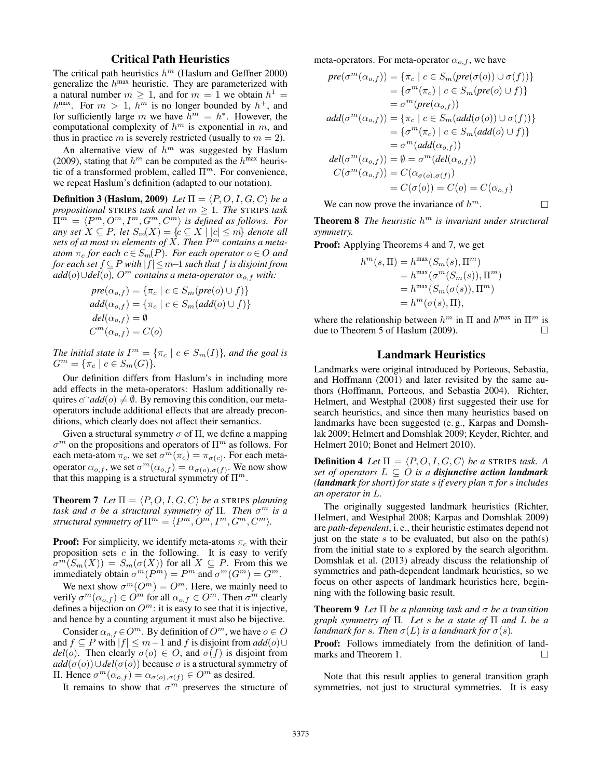# Critical Path Heuristics

The critical path heuristics  $h^m$  (Haslum and Geffner 2000) generalize the  $h^{\text{max}}$  heuristic. They are parameterized with a natural number  $m \geq 1$ , and for  $m = 1$  we obtain  $h^1 =$  $h^{\max}$ . For  $m > 1$ ,  $h^m$  is no longer bounded by  $h^+$ , and for sufficiently large m we have  $h^m = h^*$ . However, the computational complexity of  $h^m$  is exponential in m, and thus in practice m is severely restricted (usually to  $m = 2$ ).

An alternative view of  $h^m$  was suggested by Haslum (2009), stating that  $h^m$  can be computed as the  $h^{\text{max}}$  heuristic of a transformed problem, called  $\Pi^m$ . For convenience, we repeat Haslum's definition (adapted to our notation).

**Definition 3 (Haslum, 2009)** Let  $\Pi = \langle P, O, I, G, C \rangle$  be a *propositional* STRIPS *task and let* m ≥ 1*. The* STRIPS *task*  $\Pi^m = \langle P^m, O^m, I^m, G^m, C^m \rangle$  is defined as follows. For *any set*  $X ⊆ P$ *, let*  $S_m(X) = \{c ⊆ X \mid |c| ≤ m\}$  *denote all sets of at most* m *elements of* X*. Then* P <sup>m</sup> *contains a meta-* $\alpha$ *atom*  $\pi_c$  *for each*  $c \in S_m(P)$ *. For each operator*  $o \in O$  *and for each set* f ⊆P *with* |f|≤m−1 *such that* f *is disjoint from*  $add(o) \cup del(o)$ *, O<sup>m</sup> contains a meta-operator*  $\alpha_{o,f}$  *with:* 

$$
pre(\alpha_{o,f}) = \{\pi_c \mid c \in S_m(pre(o) \cup f)\}
$$
  
add( $\alpha_{o,f}$ ) = { $\pi_c$  |  $c \in S_m$ (add(o)  $\cup$  f)}  
del( $\alpha_{o,f}$ ) =  $\emptyset$   
 $C^m(\alpha_{o,f}) = C(o)$ 

*The initial state is*  $I^m = \{ \pi_c \mid c \in S_m(I) \}$ *, and the goal is*  $G^m = \{ \pi_c \mid c \in S_m(G) \}.$ 

Our definition differs from Haslum's in including more add effects in the meta-operators: Haslum additionally requires  $c \cap add(o) \neq \emptyset$ . By removing this condition, our metaoperators include additional effects that are already preconditions, which clearly does not affect their semantics.

Given a structural symmetry  $\sigma$  of  $\Pi$ , we define a mapping  $\sigma^m$  on the propositions and operators of  $\Pi^m$  as follows. For each meta-atom  $\pi_c$ , we set  $\sigma^m(\pi_c) = \pi_{\sigma(c)}$ . For each metaoperator  $\alpha_{o,f}$ , we set  $\sigma^m(\alpha_{o,f}) = \alpha_{\sigma(o),\sigma(f)}$ . We now show that this mapping is a structural symmetry of  $\Pi^m$ .

**Theorem 7** Let  $\Pi = \langle P, O, I, G, C \rangle$  be a STRIPS planning *task and* σ *be a structural symmetry of* Π*. Then* σ <sup>m</sup> *is a structural symmetry of*  $\Pi^m = \langle P^m, O^m, I^m, G^m, C^m \rangle$ .

**Proof:** For simplicity, we identify meta-atoms  $\pi_c$  with their proposition sets  $c$  in the following. It is easy to verify  $\sigma^m(S_m(X)) = S_m(\sigma(X))$  for all  $X \subseteq P$ . From this we immediately obtain  $\sigma^m(P^m) = P^m$  and  $\sigma^m(G^m) = G^m$ .

We next show  $\sigma^m(O^m) = O^m$ . Here, we mainly need to verify  $\sigma^m(\alpha_{o,f}) \in \hat{O}^m$  for all  $\alpha_{o,f} \in \hat{O}^m$ . Then  $\sigma^m$  clearly defines a bijection on  $O^m$ : it is easy to see that it is injective, and hence by a counting argument it must also be bijective.

Consider  $\alpha_{o,f} \in O^m$ . By definition of  $O^m$ , we have  $o \in O$ and  $f \subseteq P$  with  $|f| \leq m-1$  and f is disjoint from  $add(o) \cup$  $del(o)$ . Then clearly  $\sigma(o) \in O$ , and  $\sigma(f)$  is disjoint from  $add(\sigma(o)) \cup del(\sigma(o))$  because  $\sigma$  is a structural symmetry of Π. Hence  $\sigma^m(\alpha_{o,f}) = \alpha_{\sigma(o),\sigma(f)} \in O^m$  as desired.

It remains to show that  $\sigma^m$  preserves the structure of

meta-operators. For meta-operator  $\alpha_{o,f}$ , we have

$$
pre(\sigma^m(\alpha_{o,f})) = {\pi_c \mid c \in S_m(pre(\sigma(o)) \cup \sigma(f))}
$$
  
\n
$$
= {\sigma^m(\pi_c) \mid c \in S_m(pre(o) \cup f)}
$$
  
\n
$$
= \sigma^m(pre(\alpha_{o,f}))
$$
  
\n
$$
add(\sigma^m(\alpha_{o,f})) = {\pi_c \mid c \in S_m(add(\sigma(o)) \cup \sigma(f))}
$$
  
\n
$$
= {\sigma^m(\pi_c) \mid c \in S_m(add(o) \cup f)}
$$
  
\n
$$
= \sigma^m(add(\alpha_{o,f}))
$$
  
\n
$$
del(\sigma^m(\alpha_{o,f})) = \emptyset = \sigma^m(del(\alpha_{o,f}))
$$
  
\n
$$
C(\sigma^m(\alpha_{o,f})) = C(\alpha_{\sigma(o),\sigma(f)})
$$
  
\n
$$
= C(\sigma(o)) = C(o) = C(\alpha_{o,f})
$$

We can now prove the invariance of  $h^m$ .

Theorem 8 *The heuristic* h <sup>m</sup> *is invariant under structural symmetry.*

Proof: Applying Theorems 4 and 7, we get

$$
hm(s,\Pi) = hmax(Sm(s),\Pim)
$$
  
=  $hmax(\sigmam(Sm(s)),\Pim)$   
=  $hmax(Sm(\sigma(s)),\Pim)$   
=  $hm(\sigma(s),\Pi)$ ,

where the relationship between  $h^m$  in  $\Pi$  and  $h^{\max}$  in  $\Pi^m$  is due to Theorem 5 of Haslum (2009).

### Landmark Heuristics

Landmarks were original introduced by Porteous, Sebastia, and Hoffmann (2001) and later revisited by the same authors (Hoffmann, Porteous, and Sebastia 2004). Richter, Helmert, and Westphal (2008) first suggested their use for search heuristics, and since then many heuristics based on landmarks have been suggested (e. g., Karpas and Domshlak 2009; Helmert and Domshlak 2009; Keyder, Richter, and Helmert 2010; Bonet and Helmert 2010).

**Definition 4** Let  $\Pi = \langle P, O, I, G, C \rangle$  be a STRIPS task. A *set of operators*  $L \subseteq O$  *is a disjunctive action landmark (landmark for short) for state* s *if every plan* π *for* s *includes an operator in* L*.*

The originally suggested landmark heuristics (Richter, Helmert, and Westphal 2008; Karpas and Domshlak 2009) are *path-dependent*, i. e., their heuristic estimates depend not just on the state s to be evaluated, but also on the path(s) from the initial state to s explored by the search algorithm. Domshlak et al. (2013) already discuss the relationship of symmetries and path-dependent landmark heuristics, so we focus on other aspects of landmark heuristics here, beginning with the following basic result.

Theorem 9 *Let* Π *be a planning task and* σ *be a transition graph symmetry of* Π*. Let* s *be a state of* Π *and* L *be a landmark for s. Then*  $\sigma(L)$  *is a landmark for*  $\sigma(s)$ *.* 

Proof: Follows immediately from the definition of landmarks and Theorem 1.

Note that this result applies to general transition graph symmetries, not just to structural symmetries. It is easy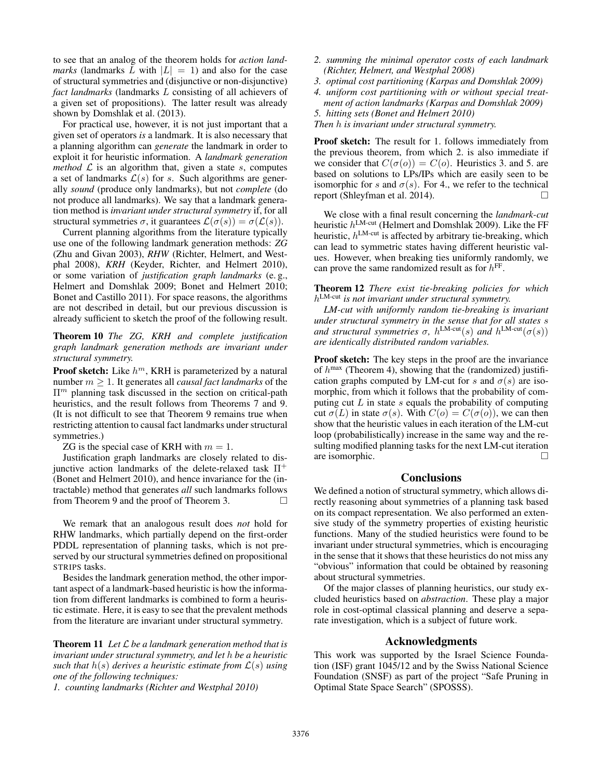to see that an analog of the theorem holds for *action landmarks* (landmarks L with  $|L| = 1$ ) and also for the case of structural symmetries and (disjunctive or non-disjunctive) *fact landmarks* (landmarks L consisting of all achievers of a given set of propositions). The latter result was already shown by Domshlak et al. (2013).

For practical use, however, it is not just important that a given set of operators *is* a landmark. It is also necessary that a planning algorithm can *generate* the landmark in order to exploit it for heuristic information. A *landmark generation method*  $\mathcal{L}$  is an algorithm that, given a state  $s$ , computes a set of landmarks  $\mathcal{L}(s)$  for s. Such algorithms are generally *sound* (produce only landmarks), but not *complete* (do not produce all landmarks). We say that a landmark generation method is *invariant under structural symmetry* if, for all structural symmetries  $\sigma$ , it guarantees  $\mathcal{L}(\sigma(s)) = \sigma(\mathcal{L}(s))$ .

Current planning algorithms from the literature typically use one of the following landmark generation methods: *ZG* (Zhu and Givan 2003), *RHW* (Richter, Helmert, and Westphal 2008), *KRH* (Keyder, Richter, and Helmert 2010), or some variation of *justification graph landmarks* (e. g., Helmert and Domshlak 2009; Bonet and Helmert 2010; Bonet and Castillo 2011). For space reasons, the algorithms are not described in detail, but our previous discussion is already sufficient to sketch the proof of the following result.

Theorem 10 *The ZG, KRH and complete justification graph landmark generation methods are invariant under structural symmetry.*

**Proof sketch:** Like  $h^m$ , KRH is parameterized by a natural number m ≥ 1. It generates all *causal fact landmarks* of the  $\Pi<sup>m</sup>$  planning task discussed in the section on critical-path heuristics, and the result follows from Theorems 7 and 9. (It is not difficult to see that Theorem 9 remains true when restricting attention to causal fact landmarks under structural symmetries.)

ZG is the special case of KRH with  $m = 1$ .

Justification graph landmarks are closely related to disjunctive action landmarks of the delete-relaxed task  $\Pi^+$ (Bonet and Helmert 2010), and hence invariance for the (intractable) method that generates *all* such landmarks follows from Theorem 9 and the proof of Theorem 3.

We remark that an analogous result does *not* hold for RHW landmarks, which partially depend on the first-order PDDL representation of planning tasks, which is not preserved by our structural symmetries defined on propositional STRIPS tasks.

Besides the landmark generation method, the other important aspect of a landmark-based heuristic is how the information from different landmarks is combined to form a heuristic estimate. Here, it is easy to see that the prevalent methods from the literature are invariant under structural symmetry.

Theorem 11 *Let* L *be a landmark generation method that is invariant under structural symmetry, and let* h *be a heuristic such that*  $h(s)$  *derives a heuristic estimate from*  $\mathcal{L}(s)$  *using one of the following techniques:*

*1. counting landmarks (Richter and Westphal 2010)*

- *2. summing the minimal operator costs of each landmark (Richter, Helmert, and Westphal 2008)*
- *3. optimal cost partitioning (Karpas and Domshlak 2009)*
- *4. uniform cost partitioning with or without special treat-*
- *ment of action landmarks (Karpas and Domshlak 2009) 5. hitting sets (Bonet and Helmert 2010)*
- *Then* h *is invariant under structural symmetry.*

Proof sketch: The result for 1. follows immediately from the previous theorem, from which 2. is also immediate if we consider that  $C(\sigma(o)) = C(o)$ . Heuristics 3. and 5. are based on solutions to LPs/IPs which are easily seen to be isomorphic for s and  $\sigma(s)$ . For 4., we refer to the technical report (Shleyfman et al. 2014).

We close with a final result concerning the *landmark-cut* heuristic  $h^{\text{LM-cut}}$  (Helmert and Domshlak 2009). Like the FF heuristic,  $h^{\text{LM-cut}}$  is affected by arbitrary tie-breaking, which can lead to symmetric states having different heuristic values. However, when breaking ties uniformly randomly, we can prove the same randomized result as for  $h^{\text{FF}}$ .

Theorem 12 *There exist tie-breaking policies for which* h LM-cut *is not invariant under structural symmetry.*

*LM-cut with uniformly random tie-breaking is invariant under structural symmetry in the sense that for all states* s *and structural symmetries*  $\sigma$ ,  $h^{\text{LM-cut}}(s)$  *and*  $h^{\text{LM-cut}}(\sigma(s))$ *are identically distributed random variables.*

Proof sketch: The key steps in the proof are the invariance of  $h^{\text{max}}$  (Theorem 4), showing that the (randomized) justification graphs computed by LM-cut for s and  $\sigma(s)$  are isomorphic, from which it follows that the probability of computing cut  $L$  in state  $s$  equals the probability of computing cut  $\sigma(L)$  in state  $\sigma(s)$ . With  $C(o) = C(\sigma(o))$ , we can then show that the heuristic values in each iteration of the LM-cut loop (probabilistically) increase in the same way and the resulting modified planning tasks for the next LM-cut iteration are isomorphic.

# **Conclusions**

We defined a notion of structural symmetry, which allows directly reasoning about symmetries of a planning task based on its compact representation. We also performed an extensive study of the symmetry properties of existing heuristic functions. Many of the studied heuristics were found to be invariant under structural symmetries, which is encouraging in the sense that it shows that these heuristics do not miss any "obvious" information that could be obtained by reasoning about structural symmetries.

Of the major classes of planning heuristics, our study excluded heuristics based on *abstraction*. These play a major role in cost-optimal classical planning and deserve a separate investigation, which is a subject of future work.

# Acknowledgments

This work was supported by the Israel Science Foundation (ISF) grant 1045/12 and by the Swiss National Science Foundation (SNSF) as part of the project "Safe Pruning in Optimal State Space Search" (SPOSSS).